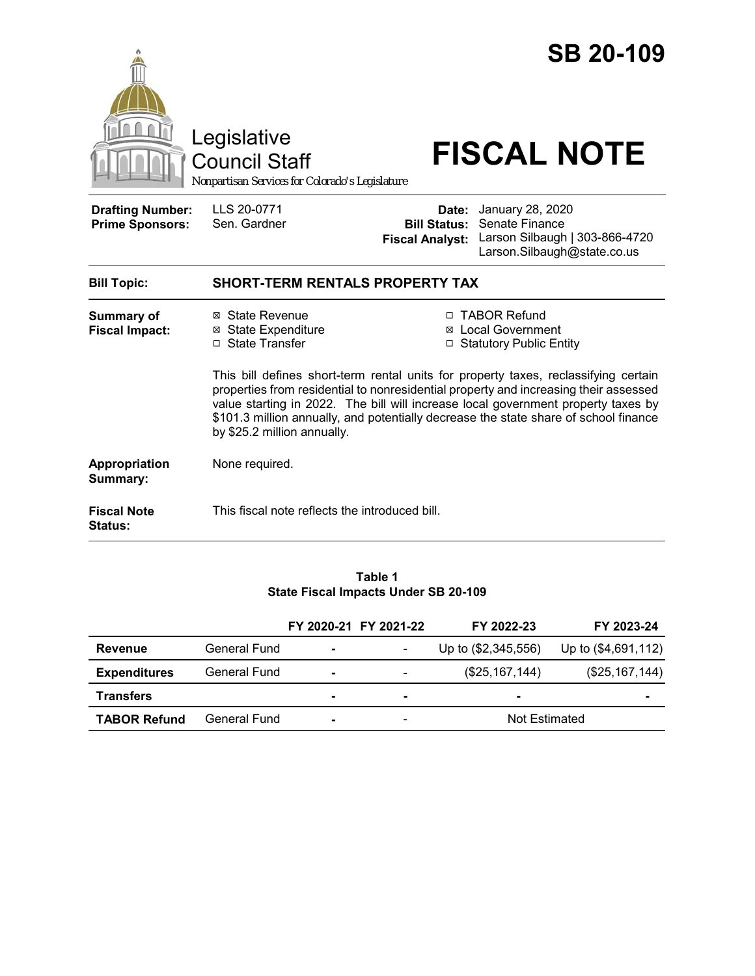|                                                   | Legislative<br><b>Council Staff</b><br>Nonpartisan Services for Colorado's Legislature                                                                                                                                                                                                                                                                                                  |                                                        | <b>SB 20-109</b><br><b>FISCAL NOTE</b>                                                              |  |  |
|---------------------------------------------------|-----------------------------------------------------------------------------------------------------------------------------------------------------------------------------------------------------------------------------------------------------------------------------------------------------------------------------------------------------------------------------------------|--------------------------------------------------------|-----------------------------------------------------------------------------------------------------|--|--|
| <b>Drafting Number:</b><br><b>Prime Sponsors:</b> | LLS 20-0771<br>Sen. Gardner                                                                                                                                                                                                                                                                                                                                                             | Date:<br><b>Bill Status:</b><br><b>Fiscal Analyst:</b> | January 28, 2020<br>Senate Finance<br>Larson Silbaugh   303-866-4720<br>Larson.Silbaugh@state.co.us |  |  |
| <b>Bill Topic:</b>                                | <b>SHORT-TERM RENTALS PROPERTY TAX</b>                                                                                                                                                                                                                                                                                                                                                  |                                                        |                                                                                                     |  |  |
| <b>Summary of</b><br><b>Fiscal Impact:</b>        | ⊠ State Revenue<br><b>State Expenditure</b><br>⊠<br>□ State Transfer                                                                                                                                                                                                                                                                                                                    |                                                        | □ TABOR Refund<br><b>Local Government</b><br>□ Statutory Public Entity                              |  |  |
|                                                   | This bill defines short-term rental units for property taxes, reclassifying certain<br>properties from residential to nonresidential property and increasing their assessed<br>value starting in 2022. The bill will increase local government property taxes by<br>\$101.3 million annually, and potentially decrease the state share of school finance<br>by \$25.2 million annually. |                                                        |                                                                                                     |  |  |
| <b>Appropriation</b><br>Summary:                  | None required.                                                                                                                                                                                                                                                                                                                                                                          |                                                        |                                                                                                     |  |  |
| <b>Fiscal Note</b><br>Status:                     | This fiscal note reflects the introduced bill.                                                                                                                                                                                                                                                                                                                                          |                                                        |                                                                                                     |  |  |

#### **Table 1 State Fiscal Impacts Under SB 20-109**

|                     |              |                | FY 2020-21 FY 2021-22 | FY 2022-23          | FY 2023-24          |
|---------------------|--------------|----------------|-----------------------|---------------------|---------------------|
| <b>Revenue</b>      | General Fund | $\blacksquare$ |                       | Up to (\$2,345,556) | Up to (\$4,691,112) |
| <b>Expenditures</b> | General Fund | $\blacksquare$ |                       | (\$25,167,144)      | (\$25,167,144)      |
| <b>Transfers</b>    |              |                |                       | $\sim$              | $\blacksquare$      |
| <b>TABOR Refund</b> | General Fund |                | -                     | Not Estimated       |                     |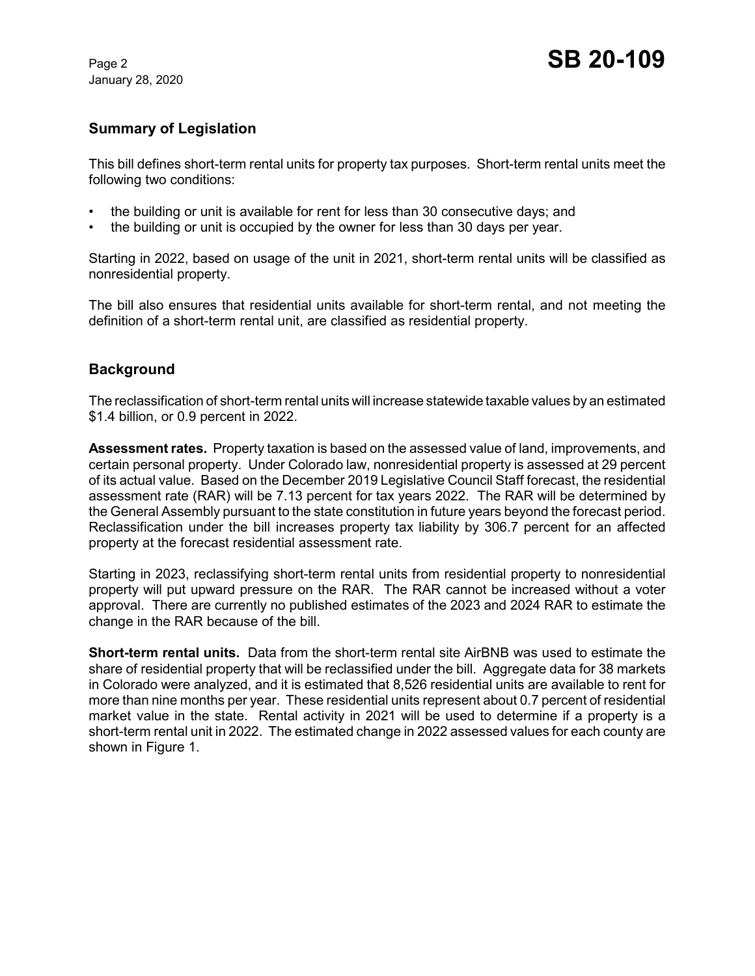January 28, 2020

# **Summary of Legislation**

This bill defines short-term rental units for property tax purposes. Short-term rental units meet the following two conditions:

- the building or unit is available for rent for less than 30 consecutive days; and
- the building or unit is occupied by the owner for less than 30 days per year.

Starting in 2022, based on usage of the unit in 2021, short-term rental units will be classified as nonresidential property.

The bill also ensures that residential units available for short-term rental, and not meeting the definition of a short-term rental unit, are classified as residential property.

## **Background**

The reclassification of short-term rental units will increase statewide taxable values by an estimated \$1.4 billion, or 0.9 percent in 2022.

**Assessment rates.** Property taxation is based on the assessed value of land, improvements, and certain personal property. Under Colorado law, nonresidential property is assessed at 29 percent of its actual value. Based on the December 2019 Legislative Council Staff forecast, the residential assessment rate (RAR) will be 7.13 percent for tax years 2022. The RAR will be determined by the General Assembly pursuant to the state constitution in future years beyond the forecast period. Reclassification under the bill increases property tax liability by 306.7 percent for an affected property at the forecast residential assessment rate.

Starting in 2023, reclassifying short-term rental units from residential property to nonresidential property will put upward pressure on the RAR. The RAR cannot be increased without a voter approval. There are currently no published estimates of the 2023 and 2024 RAR to estimate the change in the RAR because of the bill.

**Short-term rental units.** Data from the short-term rental site AirBNB was used to estimate the share of residential property that will be reclassified under the bill. Aggregate data for 38 markets in Colorado were analyzed, and it is estimated that 8,526 residential units are available to rent for more than nine months per year. These residential units represent about 0.7 percent of residential market value in the state. Rental activity in 2021 will be used to determine if a property is a short-term rental unit in 2022. The estimated change in 2022 assessed values for each county are shown in Figure 1.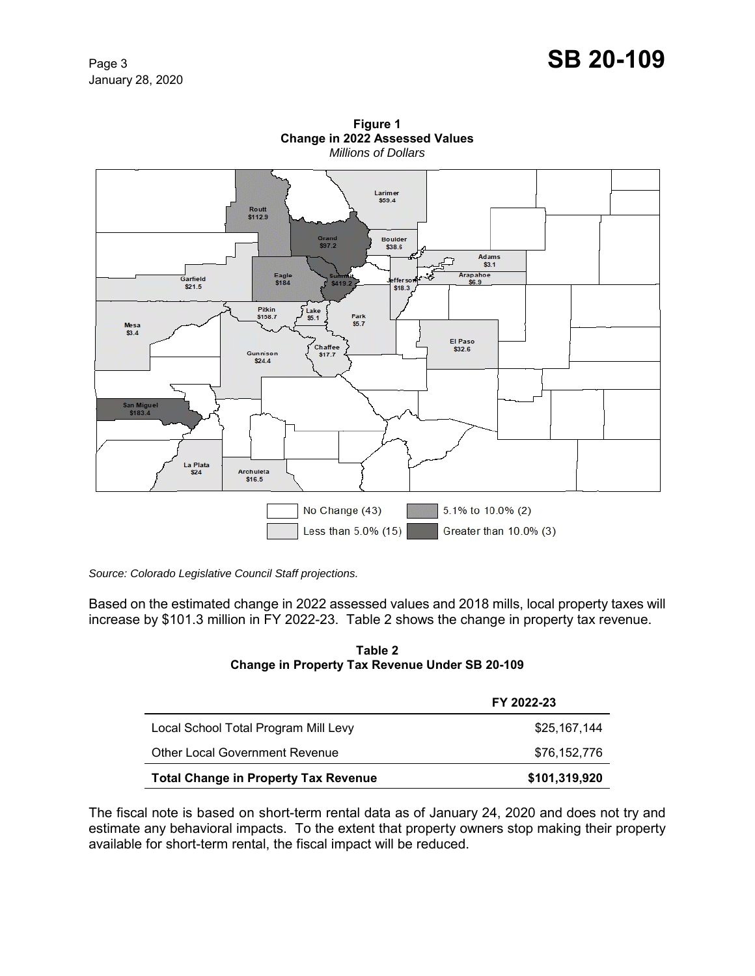# Page 3 **SB 20-109**



**Figure 1 Change in 2022 Assessed Values** *Millions of Dollars*

*Source: Colorado Legislative Council Staff projections.*

Based on the estimated change in 2022 assessed values and 2018 mills, local property taxes will increase by \$101.3 million in FY 2022-23. Table 2 shows the change in property tax revenue.

#### **Table 2 Change in Property Tax Revenue Under SB 20-109**

|                                             | FY 2022-23    |
|---------------------------------------------|---------------|
| Local School Total Program Mill Levy        | \$25,167,144  |
| <b>Other Local Government Revenue</b>       | \$76,152,776  |
| <b>Total Change in Property Tax Revenue</b> | \$101,319,920 |

The fiscal note is based on short-term rental data as of January 24, 2020 and does not try and estimate any behavioral impacts. To the extent that property owners stop making their property available for short-term rental, the fiscal impact will be reduced.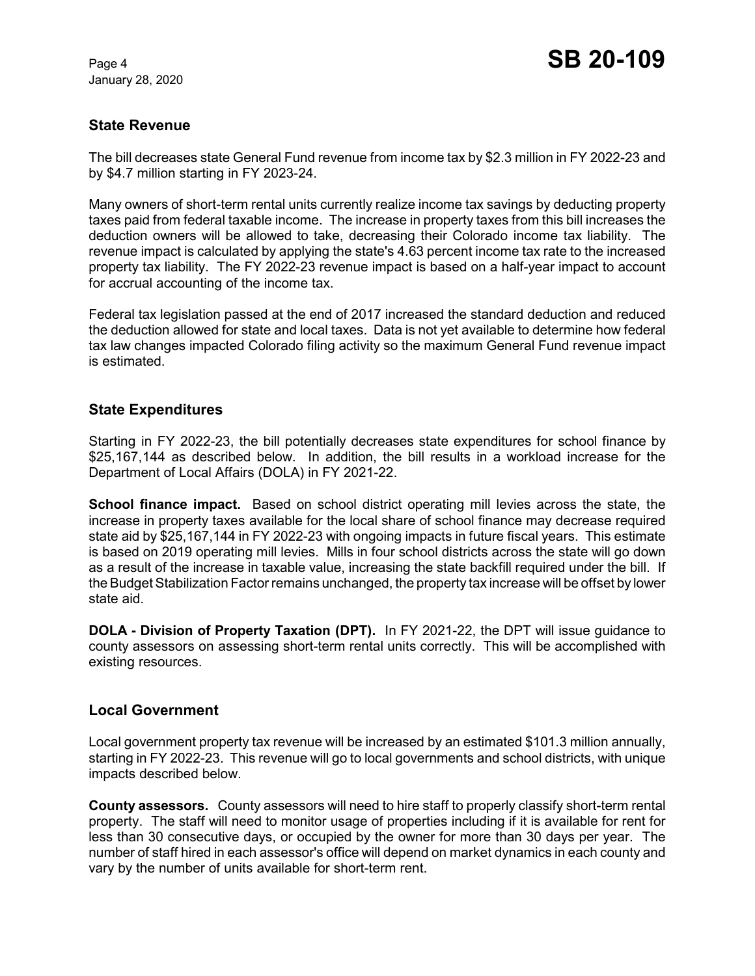January 28, 2020

# **State Revenue**

The bill decreases state General Fund revenue from income tax by \$2.3 million in FY 2022-23 and by \$4.7 million starting in FY 2023-24.

Many owners of short-term rental units currently realize income tax savings by deducting property taxes paid from federal taxable income. The increase in property taxes from this bill increases the deduction owners will be allowed to take, decreasing their Colorado income tax liability. The revenue impact is calculated by applying the state's 4.63 percent income tax rate to the increased property tax liability. The FY 2022-23 revenue impact is based on a half-year impact to account for accrual accounting of the income tax.

Federal tax legislation passed at the end of 2017 increased the standard deduction and reduced the deduction allowed for state and local taxes. Data is not yet available to determine how federal tax law changes impacted Colorado filing activity so the maximum General Fund revenue impact is estimated.

### **State Expenditures**

Starting in FY 2022-23, the bill potentially decreases state expenditures for school finance by \$25,167,144 as described below. In addition, the bill results in a workload increase for the Department of Local Affairs (DOLA) in FY 2021-22.

**School finance impact.** Based on school district operating mill levies across the state, the increase in property taxes available for the local share of school finance may decrease required state aid by \$25,167,144 in FY 2022-23 with ongoing impacts in future fiscal years. This estimate is based on 2019 operating mill levies. Mills in four school districts across the state will go down as a result of the increase in taxable value, increasing the state backfill required under the bill. If the Budget Stabilization Factor remains unchanged, the property tax increase will be offset by lower state aid.

**DOLA - Division of Property Taxation (DPT).** In FY 2021-22, the DPT will issue guidance to county assessors on assessing short-term rental units correctly. This will be accomplished with existing resources.

### **Local Government**

Local government property tax revenue will be increased by an estimated \$101.3 million annually, starting in FY 2022-23. This revenue will go to local governments and school districts, with unique impacts described below.

**County assessors.** County assessors will need to hire staff to properly classify short-term rental property. The staff will need to monitor usage of properties including if it is available for rent for less than 30 consecutive days, or occupied by the owner for more than 30 days per year. The number of staff hired in each assessor's office will depend on market dynamics in each county and vary by the number of units available for short-term rent.